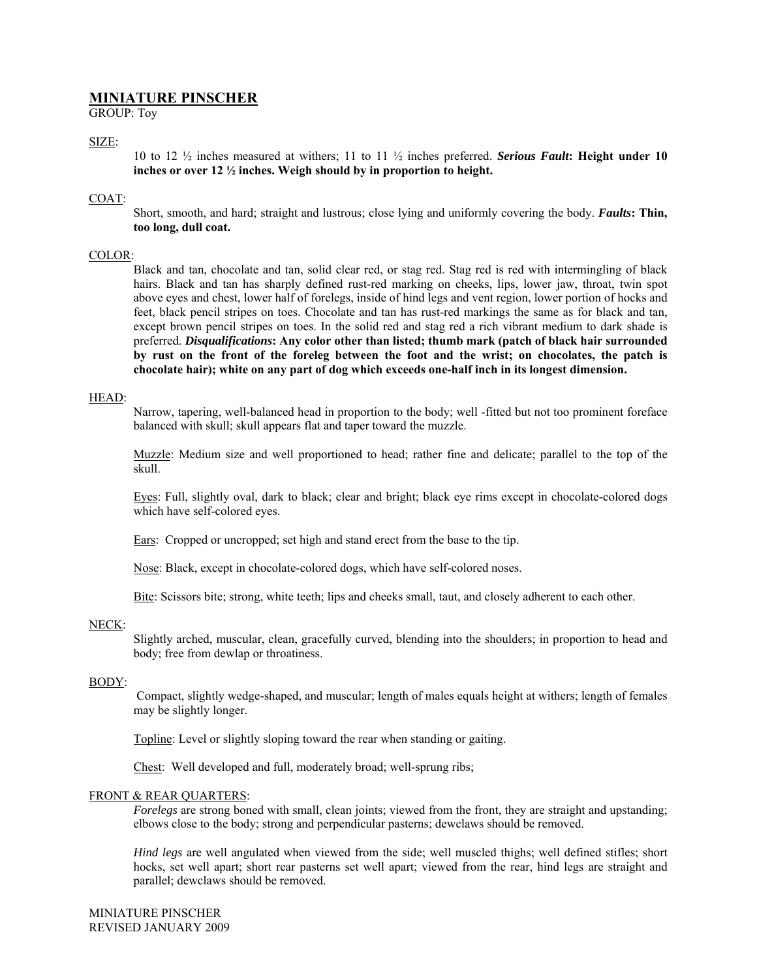# **MINIATURE PINSCHER**

GROUP: Toy

# SIZE:

10 to 12 ½ inches measured at withers; 11 to 11 ½ inches preferred. *Serious Fault***: Height under 10 inches or over 12 ½ inches. Weigh should by in proportion to height.** 

## COAT:

Short, smooth, and hard; straight and lustrous; close lying and uniformly covering the body. *Faults***: Thin, too long, dull coat.** 

# COLOR:

Black and tan, chocolate and tan, solid clear red, or stag red. Stag red is red with intermingling of black hairs. Black and tan has sharply defined rust-red marking on cheeks, lips, lower jaw, throat, twin spot above eyes and chest, lower half of forelegs, inside of hind legs and vent region, lower portion of hocks and feet, black pencil stripes on toes. Chocolate and tan has rust-red markings the same as for black and tan, except brown pencil stripes on toes. In the solid red and stag red a rich vibrant medium to dark shade is preferred. *Disqualifications***: Any color other than listed; thumb mark (patch of black hair surrounded by rust on the front of the foreleg between the foot and the wrist; on chocolates, the patch is chocolate hair); white on any part of dog which exceeds one-half inch in its longest dimension.** 

#### HEAD:

Narrow, tapering, well-balanced head in proportion to the body; well -fitted but not too prominent foreface balanced with skull; skull appears flat and taper toward the muzzle.

Muzzle: Medium size and well proportioned to head; rather fine and delicate; parallel to the top of the skull.

Eyes: Full, slightly oval, dark to black; clear and bright; black eye rims except in chocolate-colored dogs which have self-colored eyes.

Ears: Cropped or uncropped; set high and stand erect from the base to the tip.

Nose: Black, except in chocolate-colored dogs, which have self-colored noses.

Bite: Scissors bite; strong, white teeth; lips and cheeks small, taut, and closely adherent to each other.

## NECK:

Slightly arched, muscular, clean, gracefully curved, blending into the shoulders; in proportion to head and body; free from dewlap or throatiness.

#### BODY:

 Compact, slightly wedge-shaped, and muscular; length of males equals height at withers; length of females may be slightly longer.

Topline: Level or slightly sloping toward the rear when standing or gaiting.

Chest: Well developed and full, moderately broad; well-sprung ribs;

## FRONT & REAR QUARTERS:

*Forelegs* are strong boned with small, clean joints; viewed from the front, they are straight and upstanding; elbows close to the body; strong and perpendicular pasterns; dewclaws should be removed.

*Hind legs* are well angulated when viewed from the side; well muscled thighs; well defined stifles; short hocks, set well apart; short rear pasterns set well apart; viewed from the rear, hind legs are straight and parallel; dewclaws should be removed.